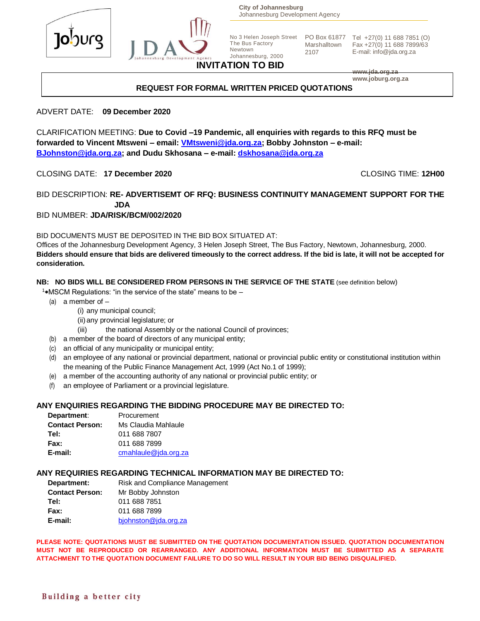

**City of Johannesburg** Johannesburg Development Agency

2107

No 3 Helen Joseph Street The Bus Factory Newtown Johannesburg, 2000

PO Box 61877 Tel +27(0) 11 688 7851 (O) Marshalltown Fax +27(0) 11 688 7899/63 E-mail: info@jda.org.za

## **INVITATION TO BID**

**www.jda.org.za www.joburg.org.za**

#### **REQUEST FOR FORMAL WRITTEN PRICED QUOTATIONS**

#### ADVERT DATE: **09 December 2020**

CLARIFICATION MEETING: **Due to Covid –19 Pandemic, all enquiries with regards to this RFQ must be forwarded to Vincent Mtsweni – email: [VMtsweni@jda.org.za;](mailto:VMtsweni@jda.org.za) Bobby Johnston – e-mail: [BJohnston@jda.org.za;](mailto:BJohnston@jda.org.za) and Dudu Skhosana – e-mail: [dskhosana@jda.org.za](mailto:dskhosana@jda.org.za)**

CLOSING DATE: **17 December 2020** CLOSING TIME: **12H00**

#### BID DESCRIPTION: **RE- ADVERTISEMT OF RFQ: BUSINESS CONTINUITY MANAGEMENT SUPPORT FOR THE JDA**

#### BID NUMBER: **JDA/RISK/BCM/002/2020**

BID DOCUMENTS MUST BE DEPOSITED IN THE BID BOX SITUATED AT:

Offices of the Johannesburg Development Agency, 3 Helen Joseph Street, The Bus Factory, Newtown, Johannesburg, 2000. **Bidders should ensure that bids are delivered timeously to the correct address. If the bid is late, it will not be accepted for consideration.**

#### **NB: NO BIDS WILL BE CONSIDERED FROM PERSONS IN THE SERVICE OF THE STATE** (see definition below)

<sup>1</sup>\*MSCM Regulations: "in the service of the state" means to be  $-$ 

- (a) a member of  $-$ 
	- (i) any municipal council;
	- (ii) any provincial legislature; or
	- (iii) the national Assembly or the national Council of provinces;
- (b) a member of the board of directors of any municipal entity;
- (c) an official of any municipality or municipal entity;
- (d) an employee of any national or provincial department, national or provincial public entity or constitutional institution within the meaning of the Public Finance Management Act, 1999 (Act No.1 of 1999);
- (e) a member of the accounting authority of any national or provincial public entity; or
- (f) an employee of Parliament or a provincial legislature.

#### **ANY ENQUIRIES REGARDING THE BIDDING PROCEDURE MAY BE DIRECTED TO:**

| Department:            | Procurement          |
|------------------------|----------------------|
| <b>Contact Person:</b> | Ms Claudia Mahlaule  |
| Tel:                   | 011 688 7807         |
| <b>Fax:</b>            | 011 688 7899         |
| E-mail:                | cmahlaule@jda.org.za |

#### **ANY REQUIRIES REGARDING TECHNICAL INFORMATION MAY BE DIRECTED TO:**

| Department:            | <b>Risk and Compliance Management</b> |
|------------------------|---------------------------------------|
| <b>Contact Person:</b> | Mr Bobby Johnston                     |
| Tel:                   | 011 688 7851                          |
| <b>Fax:</b>            | 011 688 7899                          |
| E-mail:                | bjohnston@jda.org.za                  |

**PLEASE NOTE: QUOTATIONS MUST BE SUBMITTED ON THE QUOTATION DOCUMENTATION ISSUED. QUOTATION DOCUMENTATION MUST NOT BE REPRODUCED OR REARRANGED. ANY ADDITIONAL INFORMATION MUST BE SUBMITTED AS A SEPARATE ATTACHMENT TO THE QUOTATION DOCUMENT FAILURE TO DO SO WILL RESULT IN YOUR BID BEING DISQUALIFIED.**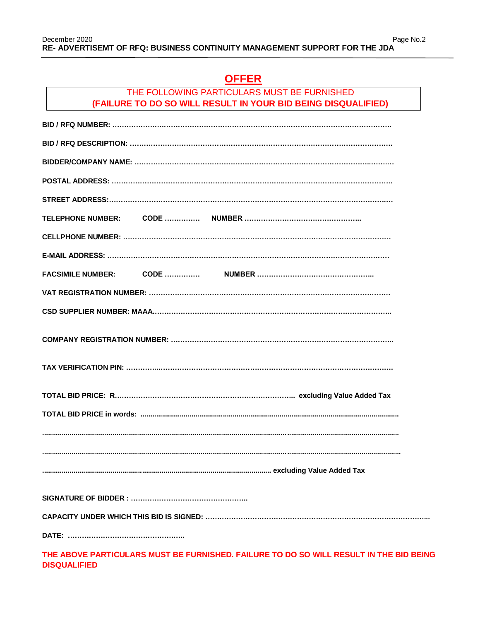# **OFFER**

### THE FOLLOWING PARTICULARS MUST BE FURNISHED **(FAILURE TO DO SO WILL RESULT IN YOUR BID BEING DISQUALIFIED)**

| <b>FACSIMILE NUMBER:</b> |
|--------------------------|
|                          |
|                          |
|                          |
|                          |
|                          |
|                          |
|                          |
|                          |
|                          |
|                          |
|                          |
|                          |
|                          |

**THE ABOVE PARTICULARS MUST BE FURNISHED. FAILURE TO DO SO WILL RESULT IN THE BID BEING DISQUALIFIED**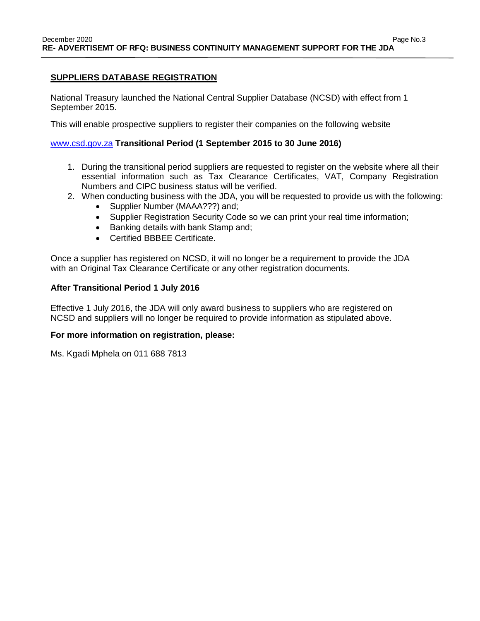### **SUPPLIERS DATABASE REGISTRATION**

National Treasury launched the National Central Supplier Database (NCSD) with effect from 1 September 2015.

This will enable prospective suppliers to register their companies on the following website

#### [www.csd.gov.za](http://www.csd.gov.za/) **Transitional Period (1 September 2015 to 30 June 2016)**

- 1. During the transitional period suppliers are requested to register on the website where all their essential information such as Tax Clearance Certificates, VAT, Company Registration Numbers and CIPC business status will be verified.
- 2. When conducting business with the JDA, you will be requested to provide us with the following:
	- Supplier Number (MAAA???) and;
	- Supplier Registration Security Code so we can print your real time information;
	- Banking details with bank Stamp and;
	- Certified BBBEE Certificate.

Once a supplier has registered on NCSD, it will no longer be a requirement to provide the JDA with an Original Tax Clearance Certificate or any other registration documents.

#### **After Transitional Period 1 July 2016**

Effective 1 July 2016, the JDA will only award business to suppliers who are registered on NCSD and suppliers will no longer be required to provide information as stipulated above.

#### **For more information on registration, please:**

Ms. Kgadi Mphela on 011 688 7813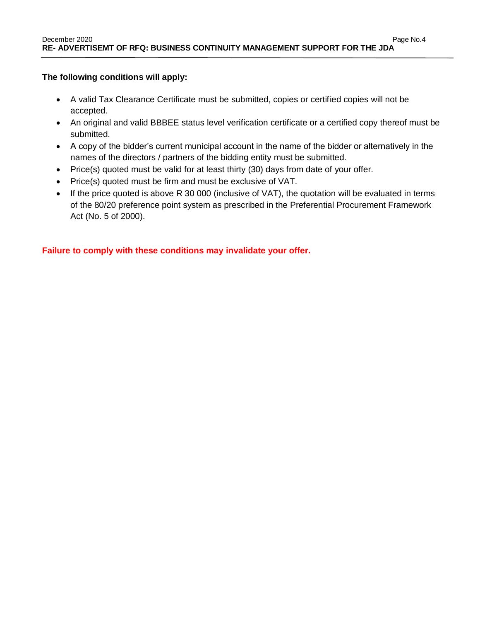### **The following conditions will apply:**

- A valid Tax Clearance Certificate must be submitted, copies or certified copies will not be accepted.
- An original and valid BBBEE status level verification certificate or a certified copy thereof must be submitted.
- A copy of the bidder's current municipal account in the name of the bidder or alternatively in the names of the directors / partners of the bidding entity must be submitted.
- Price(s) quoted must be valid for at least thirty (30) days from date of your offer.
- Price(s) quoted must be firm and must be exclusive of VAT.
- If the price quoted is above R 30 000 (inclusive of VAT), the quotation will be evaluated in terms of the 80/20 preference point system as prescribed in the Preferential Procurement Framework Act (No. 5 of 2000).

**Failure to comply with these conditions may invalidate your offer.**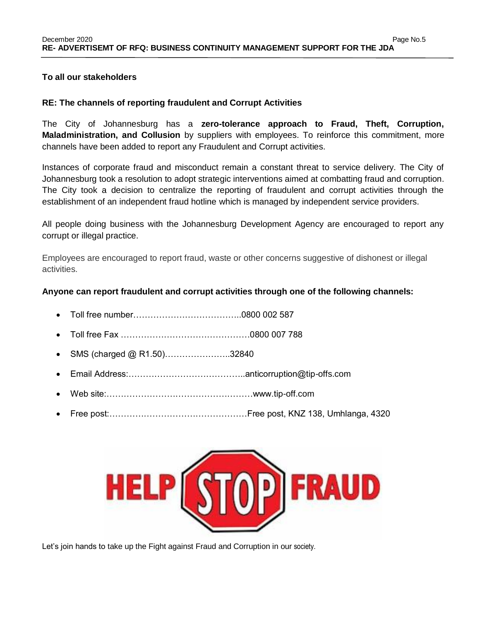### **To all our stakeholders**

#### **RE: The channels of reporting fraudulent and Corrupt Activities**

The City of Johannesburg has a **zero-tolerance approach to Fraud, Theft, Corruption, Maladministration, and Collusion** by suppliers with employees. To reinforce this commitment, more channels have been added to report any Fraudulent and Corrupt activities.

Instances of corporate fraud and misconduct remain a constant threat to service delivery. The City of Johannesburg took a resolution to adopt strategic interventions aimed at combatting fraud and corruption. The City took a decision to centralize the reporting of fraudulent and corrupt activities through the establishment of an independent fraud hotline which is managed by independent service providers.

All people doing business with the Johannesburg Development Agency are encouraged to report any corrupt or illegal practice.

Employees are encouraged to report fraud, waste or other concerns suggestive of dishonest or illegal activities.

#### **Anyone can report fraudulent and corrupt activities through one of the following channels:**

- Toll free number………………………………..0800 002 587
- Toll free Fax ………………………………………0800 007 788
- SMS (charged @ R1.50)…………………..32840
- Email Address:…………………………………..anticorruption@tip-offs.com
- Web site:……………………………………………www.tip-off.com
- Free post:…………………………………………Free post, KNZ 138, Umhlanga, 4320



Let's join hands to take up the Fight against Fraud and Corruption in our society.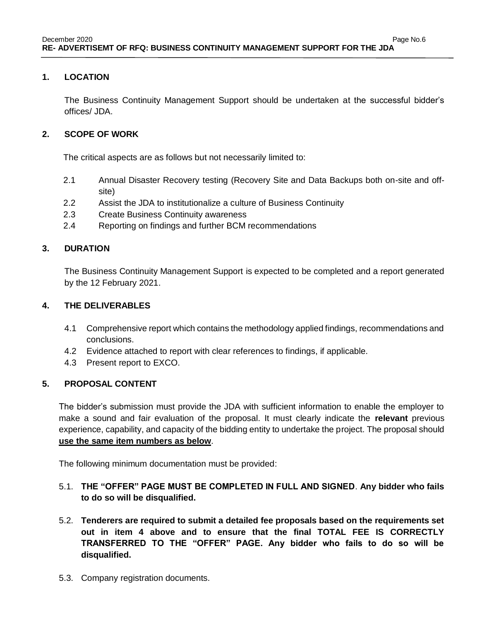### **1. LOCATION**

The Business Continuity Management Support should be undertaken at the successful bidder's offices/ JDA.

### **2. SCOPE OF WORK**

The critical aspects are as follows but not necessarily limited to:

- 2.1 Annual Disaster Recovery testing (Recovery Site and Data Backups both on-site and offsite)
- 2.2 Assist the JDA to institutionalize a culture of Business Continuity
- 2.3 Create Business Continuity awareness
- 2.4 Reporting on findings and further BCM recommendations

### **3. DURATION**

The Business Continuity Management Support is expected to be completed and a report generated by the 12 February 2021.

### **4. THE DELIVERABLES**

- 4.1 Comprehensive report which contains the methodology applied findings, recommendations and conclusions.
- 4.2 Evidence attached to report with clear references to findings, if applicable.
- 4.3 Present report to EXCO.

### **5. PROPOSAL CONTENT**

The bidder's submission must provide the JDA with sufficient information to enable the employer to make a sound and fair evaluation of the proposal. It must clearly indicate the **relevant** previous experience, capability, and capacity of the bidding entity to undertake the project. The proposal should **use the same item numbers as below**.

The following minimum documentation must be provided:

## 5.1. **THE "OFFER" PAGE MUST BE COMPLETED IN FULL AND SIGNED**. **Any bidder who fails to do so will be disqualified.**

- 5.2. **Tenderers are required to submit a detailed fee proposals based on the requirements set out in item 4 above and to ensure that the final TOTAL FEE IS CORRECTLY TRANSFERRED TO THE "OFFER" PAGE. Any bidder who fails to do so will be disqualified.**
- 5.3. Company registration documents.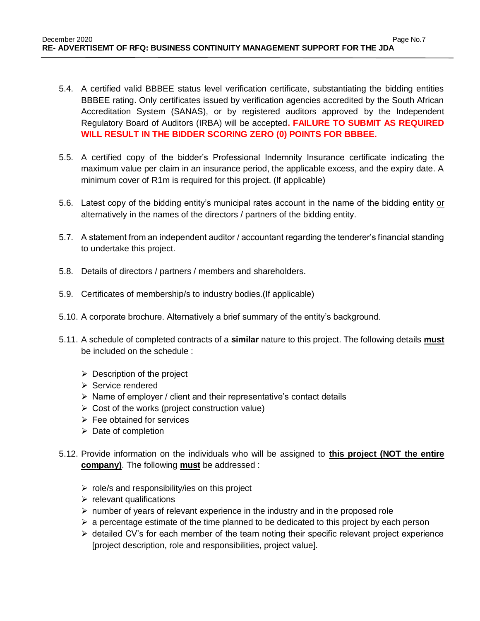- 5.4. A certified valid BBBEE status level verification certificate, substantiating the bidding entities BBBEE rating. Only certificates issued by verification agencies accredited by the South African Accreditation System (SANAS), or by registered auditors approved by the Independent Regulatory Board of Auditors (IRBA) will be accepted**. FAILURE TO SUBMIT AS REQUIRED WILL RESULT IN THE BIDDER SCORING ZERO (0) POINTS FOR BBBEE.**
- 5.5. A certified copy of the bidder's Professional Indemnity Insurance certificate indicating the maximum value per claim in an insurance period, the applicable excess, and the expiry date. A minimum cover of R1m is required for this project. (If applicable)
- 5.6. Latest copy of the bidding entity's municipal rates account in the name of the bidding entity or alternatively in the names of the directors / partners of the bidding entity.
- 5.7. A statement from an independent auditor / accountant regarding the tenderer's financial standing to undertake this project.
- 5.8. Details of directors / partners / members and shareholders.
- 5.9. Certificates of membership/s to industry bodies.(If applicable)
- 5.10. A corporate brochure. Alternatively a brief summary of the entity's background.
- 5.11. A schedule of completed contracts of a **similar** nature to this project. The following details **must** be included on the schedule :
	- $\triangleright$  Description of the project
	- $\triangleright$  Service rendered
	- $\triangleright$  Name of employer / client and their representative's contact details
	- $\triangleright$  Cost of the works (project construction value)
	- $\triangleright$  Fee obtained for services
	- $\triangleright$  Date of completion
- 5.12. Provide information on the individuals who will be assigned to **this project (NOT the entire company)**. The following **must** be addressed :
	- $\triangleright$  role/s and responsibility/ies on this project
	- $\triangleright$  relevant qualifications
	- $\triangleright$  number of years of relevant experience in the industry and in the proposed role
	- $\triangleright$  a percentage estimate of the time planned to be dedicated to this project by each person
	- $\triangleright$  detailed CV's for each member of the team noting their specific relevant project experience [project description, role and responsibilities, project value].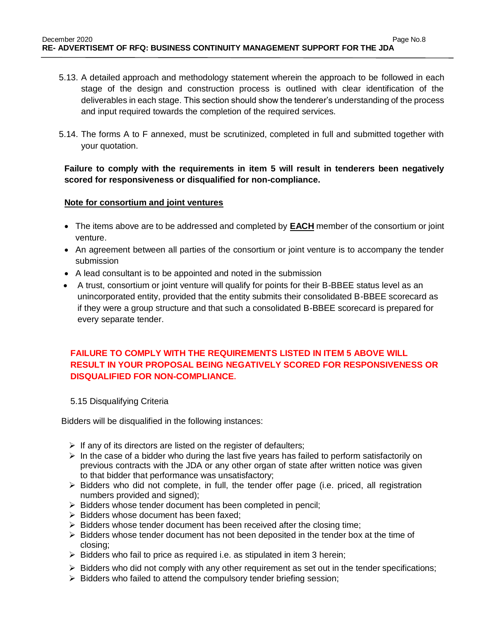- 5.13. A detailed approach and methodology statement wherein the approach to be followed in each stage of the design and construction process is outlined with clear identification of the deliverables in each stage. This section should show the tenderer's understanding of the process and input required towards the completion of the required services.
- 5.14. The forms A to F annexed, must be scrutinized, completed in full and submitted together with your quotation.

**Failure to comply with the requirements in item 5 will result in tenderers been negatively scored for responsiveness or disqualified for non-compliance.**

### **Note for consortium and joint ventures**

- The items above are to be addressed and completed by **EACH** member of the consortium or joint venture.
- An agreement between all parties of the consortium or joint venture is to accompany the tender submission
- A lead consultant is to be appointed and noted in the submission
- A trust, consortium or joint venture will qualify for points for their B-BBEE status level as an unincorporated entity, provided that the entity submits their consolidated B-BBEE scorecard as if they were a group structure and that such a consolidated B-BBEE scorecard is prepared for every separate tender.

## **FAILURE TO COMPLY WITH THE REQUIREMENTS LISTED IN ITEM 5 ABOVE WILL RESULT IN YOUR PROPOSAL BEING NEGATIVELY SCORED FOR RESPONSIVENESS OR DISQUALIFIED FOR NON-COMPLIANCE.**

5.15 Disqualifying Criteria

Bidders will be disqualified in the following instances:

- $\triangleright$  If any of its directors are listed on the register of defaulters;
- $\triangleright$  In the case of a bidder who during the last five years has failed to perform satisfactorily on previous contracts with the JDA or any other organ of state after written notice was given to that bidder that performance was unsatisfactory;
- $\triangleright$  Bidders who did not complete, in full, the tender offer page (i.e. priced, all registration numbers provided and signed);
- $\triangleright$  Bidders whose tender document has been completed in pencil;
- $\triangleright$  Bidders whose document has been faxed:
- $\triangleright$  Bidders whose tender document has been received after the closing time;
- $\triangleright$  Bidders whose tender document has not been deposited in the tender box at the time of closing;
- $\triangleright$  Bidders who fail to price as required i.e. as stipulated in item 3 herein;
- $\triangleright$  Bidders who did not comply with any other requirement as set out in the tender specifications;
- $\triangleright$  Bidders who failed to attend the compulsory tender briefing session;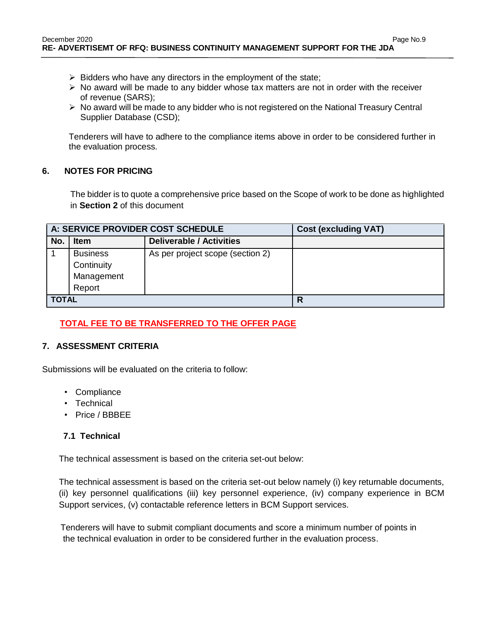- $\triangleright$  Bidders who have any directors in the employment of the state;
- $\triangleright$  No award will be made to any bidder whose tax matters are not in order with the receiver of revenue (SARS);
- $\triangleright$  No award will be made to any bidder who is not registered on the National Treasury Central Supplier Database (CSD);

Tenderers will have to adhere to the compliance items above in order to be considered further in the evaluation process.

### **6. NOTES FOR PRICING**

The bidder is to quote a comprehensive price based on the Scope of work to be done as highlighted in **Section 2** of this document

| A: SERVICE PROVIDER COST SCHEDULE |                                             |                                  | <b>Cost (excluding VAT)</b> |
|-----------------------------------|---------------------------------------------|----------------------------------|-----------------------------|
| No.                               | <b>Item</b>                                 | <b>Deliverable / Activities</b>  |                             |
|                                   | <b>Business</b><br>Continuity<br>Management | As per project scope (section 2) |                             |
|                                   | Report                                      |                                  |                             |
| <b>TOTAL</b>                      |                                             |                                  | R                           |

## **TOTAL FEE TO BE TRANSFERRED TO THE OFFER PAGE**

### **7. ASSESSMENT CRITERIA**

Submissions will be evaluated on the criteria to follow:

- Compliance
- Technical
- Price / BBBEE

### **7.1 Technical**

The technical assessment is based on the criteria set-out below:

The technical assessment is based on the criteria set-out below namely (i) key returnable documents, (ii) key personnel qualifications (iii) key personnel experience, (iv) company experience in BCM Support services, (v) contactable reference letters in BCM Support services.

 Tenderers will have to submit compliant documents and score a minimum number of points in the technical evaluation in order to be considered further in the evaluation process.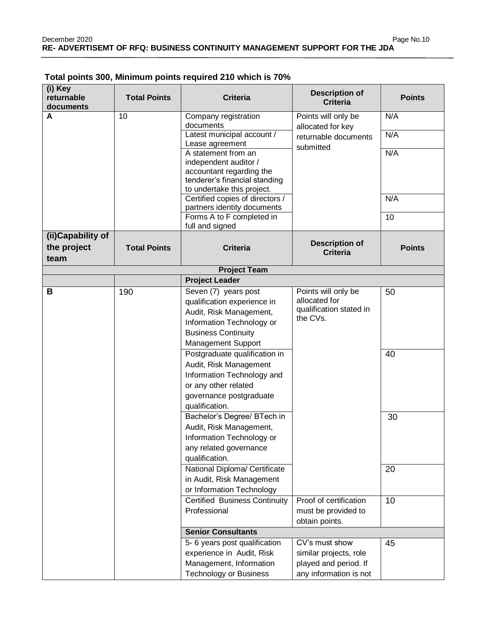| (i) Key<br>returnable<br>documents       | <b>Total Points</b> | <b>Criteria</b>                                                                                                                                                 | <b>Description of</b><br><b>Criteria</b>                                                    | <b>Points</b> |
|------------------------------------------|---------------------|-----------------------------------------------------------------------------------------------------------------------------------------------------------------|---------------------------------------------------------------------------------------------|---------------|
| A                                        | 10                  | Company registration<br>documents                                                                                                                               | Points will only be<br>allocated for key                                                    | N/A           |
|                                          |                     | Latest municipal account /<br>Lease agreement                                                                                                                   | returnable documents<br>submitted                                                           | N/A           |
|                                          |                     | A statement from an<br>independent auditor /<br>accountant regarding the<br>tenderer's financial standing<br>to undertake this project.                         |                                                                                             | N/A           |
|                                          |                     | Certified copies of directors /<br>partners identity documents                                                                                                  |                                                                                             | N/A           |
|                                          |                     | Forms A to F completed in<br>full and signed                                                                                                                    |                                                                                             | 10            |
| (ii)Capability of<br>the project<br>team | <b>Total Points</b> | <b>Criteria</b>                                                                                                                                                 | <b>Description of</b><br><b>Criteria</b>                                                    | <b>Points</b> |
|                                          |                     | <b>Project Team</b>                                                                                                                                             |                                                                                             |               |
|                                          |                     | <b>Project Leader</b>                                                                                                                                           |                                                                                             |               |
| В                                        | 190                 | Seven (7) years post<br>qualification experience in<br>Audit, Risk Management,<br>Information Technology or<br><b>Business Continuity</b><br>Management Support | Points will only be<br>allocated for<br>qualification stated in<br>the CVs.                 | 50            |
|                                          |                     | Postgraduate qualification in<br>Audit, Risk Management<br>Information Technology and<br>or any other related<br>governance postgraduate<br>qualification.      |                                                                                             | 40            |
|                                          |                     | Bachelor's Degree/ BTech in<br>Audit, Risk Management,<br>Information Technology or<br>any related governance<br>qualification.                                 |                                                                                             | 30            |
|                                          |                     | National Diploma/ Certificate<br>in Audit, Risk Management<br>or Information Technology                                                                         |                                                                                             | 20            |
|                                          |                     | <b>Certified Business Continuity</b><br>Professional                                                                                                            | Proof of certification<br>must be provided to<br>obtain points.                             | 10            |
|                                          |                     | <b>Senior Consultants</b>                                                                                                                                       |                                                                                             |               |
|                                          |                     | 5- 6 years post qualification<br>experience in Audit, Risk<br>Management, Information<br><b>Technology or Business</b>                                          | CV's must show<br>similar projects, role<br>played and period. If<br>any information is not | 45            |

## **Total points 300, Minimum points required 210 which is 70%**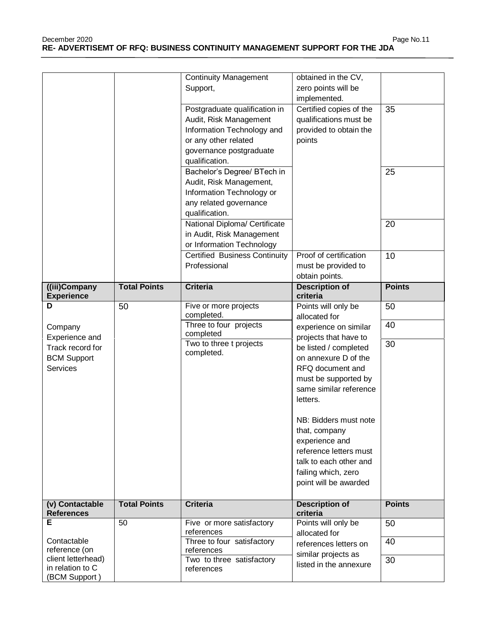December 2020 Page No.11 **RE- ADVERTISEMT OF RFQ: BUSINESS CONTINUITY MANAGEMENT SUPPORT FOR THE JDA**

|                                        |                     | <b>Continuity Management</b>            | obtained in the CV,               |               |
|----------------------------------------|---------------------|-----------------------------------------|-----------------------------------|---------------|
|                                        |                     | Support,                                | zero points will be               |               |
|                                        |                     |                                         | implemented.                      |               |
|                                        |                     | Postgraduate qualification in           | Certified copies of the           | 35            |
|                                        |                     | Audit, Risk Management                  | qualifications must be            |               |
|                                        |                     |                                         | provided to obtain the            |               |
|                                        |                     | Information Technology and              |                                   |               |
|                                        |                     | or any other related                    | points                            |               |
|                                        |                     | governance postgraduate                 |                                   |               |
|                                        |                     | qualification.                          |                                   |               |
|                                        |                     | Bachelor's Degree/ BTech in             |                                   | 25            |
|                                        |                     | Audit, Risk Management,                 |                                   |               |
|                                        |                     | Information Technology or               |                                   |               |
|                                        |                     | any related governance                  |                                   |               |
|                                        |                     | qualification.                          |                                   |               |
|                                        |                     | National Diploma/ Certificate           |                                   | 20            |
|                                        |                     | in Audit, Risk Management               |                                   |               |
|                                        |                     | or Information Technology               |                                   |               |
|                                        |                     | <b>Certified Business Continuity</b>    | Proof of certification            | 10            |
|                                        |                     | Professional                            | must be provided to               |               |
|                                        |                     |                                         | obtain points.                    |               |
| ((iii)Company                          | <b>Total Points</b> | <b>Criteria</b>                         | <b>Description of</b>             | <b>Points</b> |
| <b>Experience</b>                      |                     |                                         | criteria                          |               |
| D                                      | 50                  | Five or more projects                   | Points will only be               | 50            |
|                                        |                     | completed.                              | allocated for                     |               |
| Company                                |                     | Three to four projects                  | experience on similar             | 40            |
|                                        |                     |                                         |                                   |               |
|                                        |                     | completed                               |                                   |               |
| Experience and                         |                     | Two to three t projects                 | projects that have to             | 30            |
| Track record for                       |                     | completed.                              | be listed / completed             |               |
| <b>BCM Support</b>                     |                     |                                         | on annexure D of the              |               |
| Services                               |                     |                                         | RFQ document and                  |               |
|                                        |                     |                                         | must be supported by              |               |
|                                        |                     |                                         | same similar reference            |               |
|                                        |                     |                                         | letters.                          |               |
|                                        |                     |                                         |                                   |               |
|                                        |                     |                                         | NB: Bidders must note             |               |
|                                        |                     |                                         | that, company                     |               |
|                                        |                     |                                         | experience and                    |               |
|                                        |                     |                                         | reference letters must            |               |
|                                        |                     |                                         | talk to each other and            |               |
|                                        |                     |                                         | failing which, zero               |               |
|                                        |                     |                                         | point will be awarded             |               |
|                                        |                     |                                         |                                   |               |
| (v) Contactable<br><b>References</b>   | <b>Total Points</b> | <b>Criteria</b>                         | <b>Description of</b><br>criteria | <b>Points</b> |
| Е                                      | 50                  | Five or more satisfactory               | Points will only be               | 50            |
|                                        |                     | references                              | allocated for                     |               |
| Contactable                            |                     | Three to four satisfactory              | references letters on             | 40            |
| reference (on                          |                     | references                              | similar projects as               |               |
| client letterhead)<br>in relation to C |                     | Two to three satisfactory<br>references | listed in the annexure            | 30            |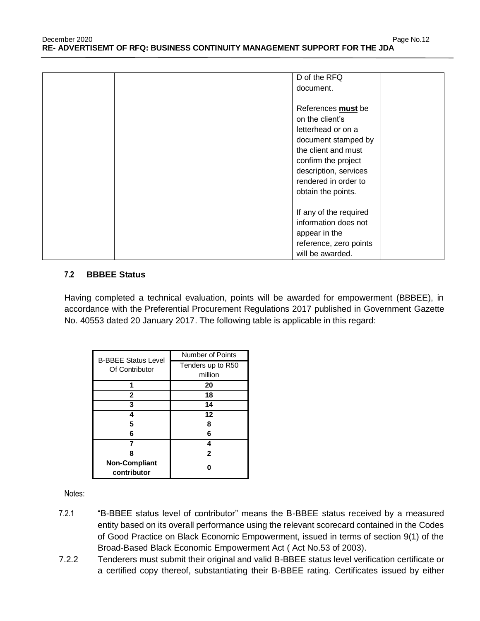| D of the RFQ<br>document.                                                                                                                                                                               |
|---------------------------------------------------------------------------------------------------------------------------------------------------------------------------------------------------------|
| References must be<br>on the client's<br>letterhead or on a<br>document stamped by<br>the client and must<br>confirm the project<br>description, services<br>rendered in order to<br>obtain the points. |
| If any of the required<br>information does not<br>appear in the<br>reference, zero points<br>will be awarded.                                                                                           |

#### **7.2 BBBEE Status**

Having completed a technical evaluation, points will be awarded for empowerment (BBBEE), in accordance with the Preferential Procurement Regulations 2017 published in Government Gazette No. 40553 dated 20 January 2017. The following table is applicable in this regard:

| <b>B-BBEE Status Level</b> | Number of Points  |  |
|----------------------------|-------------------|--|
| Of Contributor             | Tenders up to R50 |  |
|                            | million           |  |
|                            | 20                |  |
| 2                          | 18                |  |
| 3                          | 14                |  |
|                            | 12                |  |
| 5                          | 8                 |  |
| 6                          | 6                 |  |
|                            | 4                 |  |
| 8                          | $\mathbf{2}$      |  |
| <b>Non-Compliant</b>       |                   |  |
| contributor                |                   |  |

Notes:

- 7.2.1 "B-BBEE status level of contributor" means the B-BBEE status received by a measured entity based on its overall performance using the relevant scorecard contained in the Codes of Good Practice on Black Economic Empowerment, issued in terms of section 9(1) of the Broad-Based Black Economic Empowerment Act ( Act No.53 of 2003).
- 7.2.2 Tenderers must submit their original and valid B-BBEE status level verification certificate or a certified copy thereof, substantiating their B-BBEE rating. Certificates issued by either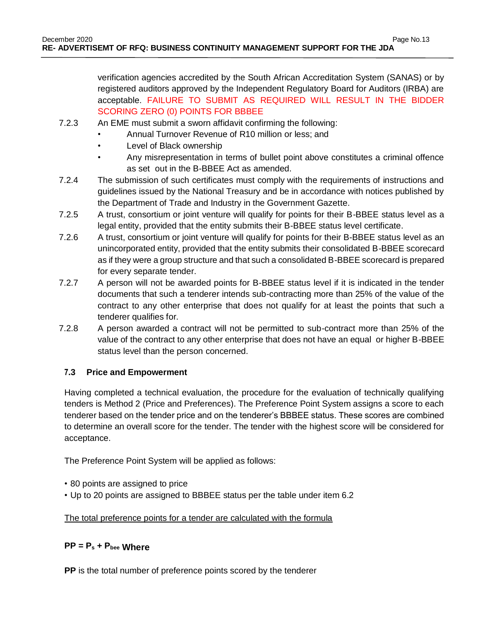verification agencies accredited by the South African Accreditation System (SANAS) or by registered auditors approved by the Independent Regulatory Board for Auditors (IRBA) are acceptable. FAILURE TO SUBMIT AS REQUIRED WILL RESULT IN THE BIDDER SCORING ZERO (0) POINTS FOR BBBEE

- 7.2.3 An EME must submit a sworn affidavit confirming the following:
	- Annual Turnover Revenue of R10 million or less; and
	- Level of Black ownership
	- Any misrepresentation in terms of bullet point above constitutes a criminal offence as set out in the B-BBEE Act as amended.
- 7.2.4 The submission of such certificates must comply with the requirements of instructions and guidelines issued by the National Treasury and be in accordance with notices published by the Department of Trade and Industry in the Government Gazette.
- 7.2.5 A trust, consortium or joint venture will qualify for points for their B-BBEE status level as a legal entity, provided that the entity submits their B-BBEE status level certificate.
- 7.2.6 A trust, consortium or joint venture will qualify for points for their B-BBEE status level as an unincorporated entity, provided that the entity submits their consolidated B-BBEE scorecard as if they were a group structure and that such a consolidated B-BBEE scorecard is prepared for every separate tender.
- 7.2.7 A person will not be awarded points for B-BBEE status level if it is indicated in the tender documents that such a tenderer intends sub-contracting more than 25% of the value of the contract to any other enterprise that does not qualify for at least the points that such a tenderer qualifies for.
- 7.2.8 A person awarded a contract will not be permitted to sub-contract more than 25% of the value of the contract to any other enterprise that does not have an equal or higher B-BBEE status level than the person concerned.

### **7.3 Price and Empowerment**

Having completed a technical evaluation, the procedure for the evaluation of technically qualifying tenders is Method 2 (Price and Preferences). The Preference Point System assigns a score to each tenderer based on the tender price and on the tenderer's BBBEE status. These scores are combined to determine an overall score for the tender. The tender with the highest score will be considered for acceptance.

The Preference Point System will be applied as follows:

- 80 points are assigned to price
- Up to 20 points are assigned to BBBEE status per the table under item 6.2

### The total preference points for a tender are calculated with the formula

## **PP = P<sup>s</sup> + Pbee Where**

**PP** is the total number of preference points scored by the tenderer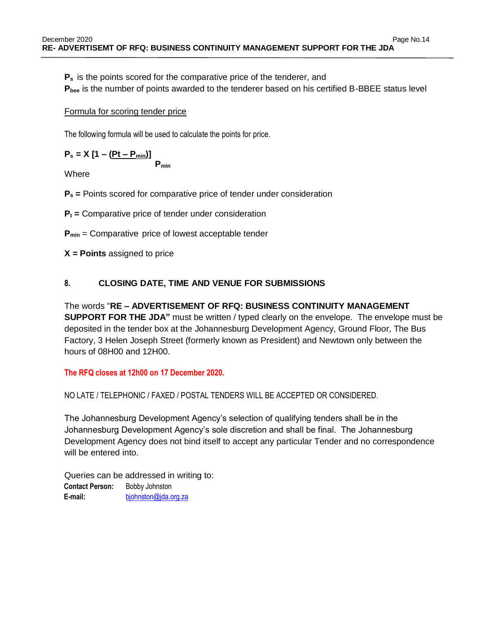**P<sup>s</sup>** is the points scored for the comparative price of the tenderer, and

**Pbee** is the number of points awarded to the tenderer based on his certified B-BBEE status level

## Formula for scoring tender price

The following formula will be used to calculate the points for price.

$$
P_s = X [1 - (Pt - P_{min})]
$$

$$
P_{min}
$$

**Where** 

**P<sup>s</sup> =** Points scored for comparative price of tender under consideration

**P<sup>t</sup> =** Comparative price of tender under consideration

**Pmin** = Comparative price of lowest acceptable tender

**X = Points** assigned to price

## **8. CLOSING DATE, TIME AND VENUE FOR SUBMISSIONS**

## The words "**RE – ADVERTISEMENT OF RFQ: BUSINESS CONTINUITY MANAGEMENT**

**SUPPORT FOR THE JDA"** must be written / typed clearly on the envelope. The envelope must be deposited in the tender box at the Johannesburg Development Agency, Ground Floor, The Bus Factory, 3 Helen Joseph Street (formerly known as President) and Newtown only between the hours of 08H00 and 12H00.

## **The RFQ closes at 12h00 on 17 December 2020.**

## NO LATE / TELEPHONIC / FAXED / POSTAL TENDERS WILL BE ACCEPTED OR CONSIDERED.

The Johannesburg Development Agency's selection of qualifying tenders shall be in the Johannesburg Development Agency's sole discretion and shall be final. The Johannesburg Development Agency does not bind itself to accept any particular Tender and no correspondence will be entered into.

Queries can be addressed in writing to:  **Contact Person:** Bobby Johnston  **E-mail:** [bjohnston@jda.org.za](mailto:bjohnston@jda.org.za)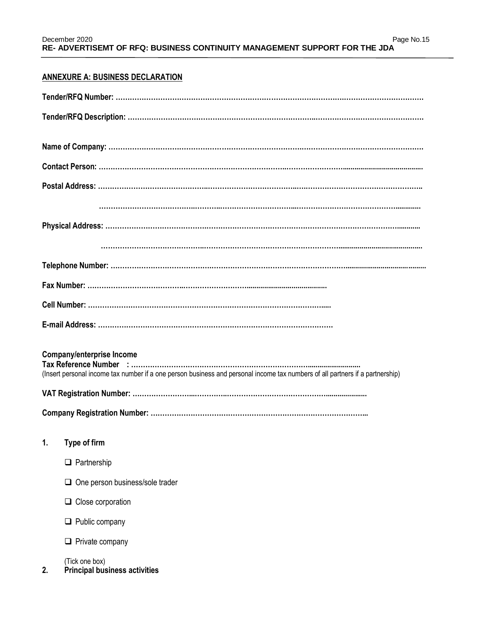## **ANNEXURE A: BUSINESS DECLARATION**

| <b>Company/enterprise Income</b><br>(Insert personal income tax number if a one person business and personal income tax numbers of all partners if a partnership) |
|-------------------------------------------------------------------------------------------------------------------------------------------------------------------|
|                                                                                                                                                                   |
|                                                                                                                                                                   |
| Type of firm<br>1.                                                                                                                                                |
| $\Box$ Partnership                                                                                                                                                |
| One person business/sole trader                                                                                                                                   |
| Close corporation<br>u                                                                                                                                            |
| Public company<br>u.                                                                                                                                              |
| $\Box$ Private company                                                                                                                                            |
| (Tick one box)<br><b>Principal business activities</b><br>2.                                                                                                      |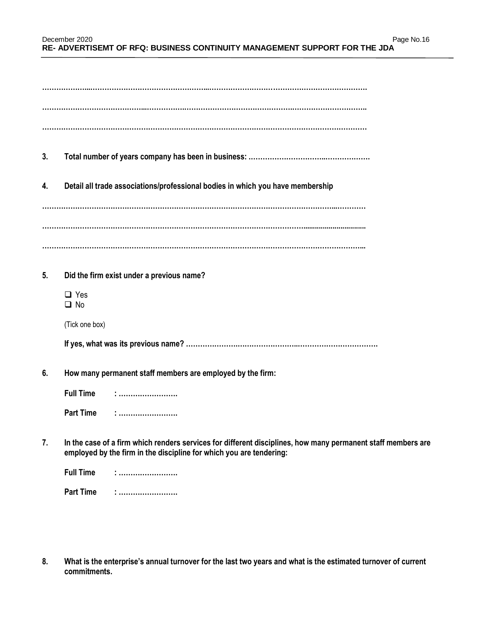| 3. |                                                                                                                                                                                     |
|----|-------------------------------------------------------------------------------------------------------------------------------------------------------------------------------------|
| 4. | Detail all trade associations/professional bodies in which you have membership                                                                                                      |
|    |                                                                                                                                                                                     |
|    |                                                                                                                                                                                     |
|    |                                                                                                                                                                                     |
| 5. | Did the firm exist under a previous name?                                                                                                                                           |
|    | $\Box$ Yes<br>$\Box$ No                                                                                                                                                             |
|    | (Tick one box)                                                                                                                                                                      |
|    |                                                                                                                                                                                     |
| 6. | How many permanent staff members are employed by the firm:                                                                                                                          |
|    | <b>Full Time</b>                                                                                                                                                                    |
|    | <b>Part Time</b>                                                                                                                                                                    |
| 7. | In the case of a firm which renders services for different disciplines, how many permanent staff members are<br>employed by the firm in the discipline for which you are tendering: |

**Full Time : …………………….**

**Part Time : …………………….**

**8. What is the enterprise's annual turnover for the last two years and what is the estimated turnover of current commitments.**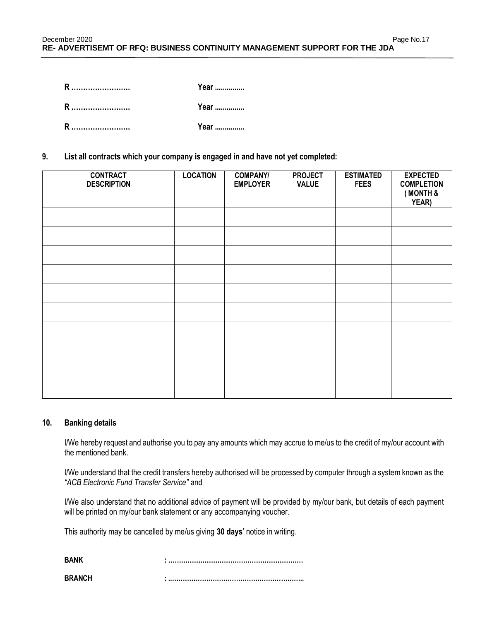| R | Year |
|---|------|
| R | Year |
| R | Year |

**9. List all contracts which your company is engaged in and have not yet completed:**

| <b>CONTRACT</b><br><b>DESCRIPTION</b> | <b>LOCATION</b> | <b>COMPANY/</b><br><b>EMPLOYER</b> | <b>PROJECT</b><br><b>VALUE</b> | <b>ESTIMATED</b><br><b>FEES</b> | <b>EXPECTED</b><br><b>COMPLETION</b><br>(MONTH &<br>YEAR) |
|---------------------------------------|-----------------|------------------------------------|--------------------------------|---------------------------------|-----------------------------------------------------------|
|                                       |                 |                                    |                                |                                 |                                                           |
|                                       |                 |                                    |                                |                                 |                                                           |
|                                       |                 |                                    |                                |                                 |                                                           |
|                                       |                 |                                    |                                |                                 |                                                           |
|                                       |                 |                                    |                                |                                 |                                                           |
|                                       |                 |                                    |                                |                                 |                                                           |
|                                       |                 |                                    |                                |                                 |                                                           |
|                                       |                 |                                    |                                |                                 |                                                           |
|                                       |                 |                                    |                                |                                 |                                                           |
|                                       |                 |                                    |                                |                                 |                                                           |

#### **10. Banking details**

I/We hereby request and authorise you to pay any amounts which may accrue to me/us to the credit of my/our account with the mentioned bank.

I/We understand that the credit transfers hereby authorised will be processed by computer through a system known as the *"ACB Electronic Fund Transfer Service"* and

I/We also understand that no additional advice of payment will be provided by my/our bank, but details of each payment will be printed on my/our bank statement or any accompanying voucher.

This authority may be cancelled by me/us giving **30 days**' notice in writing.

| RRANCH |  |
|--------|--|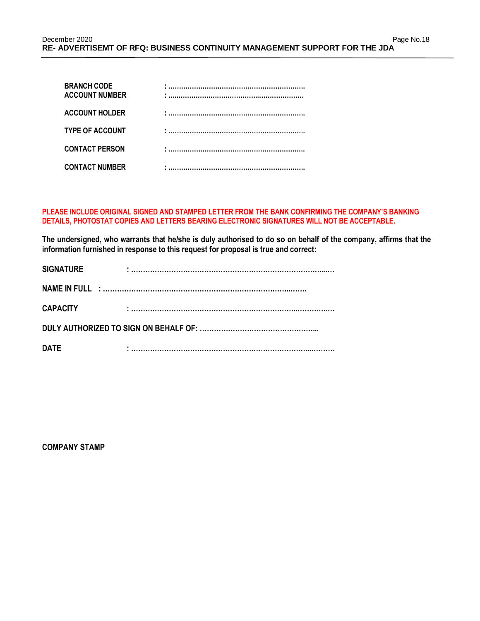| <b>BRANCH CODE</b><br><b>ACCOUNT NUMBER</b> | . |
|---------------------------------------------|---|
| <b>ACCOUNT HOLDER</b>                       |   |
| <b>TYPE OF ACCOUNT</b>                      |   |
| <b>CONTACT PERSON</b>                       |   |
| <b>CONTACT NUMBER</b>                       |   |

#### **PLEASE INCLUDE ORIGINAL SIGNED AND STAMPED LETTER FROM THE BANK CONFIRMING THE COMPANY'S BANKING DETAILS, PHOTOSTAT COPIES AND LETTERS BEARING ELECTRONIC SIGNATURES WILL NOT BE ACCEPTABLE.**

**The undersigned, who warrants that he/she is duly authorised to do so on behalf of the company, affirms that the information furnished in response to this request for proposal is true and correct:**

| <b>SIGNATURE</b> | $\blacksquare$ |
|------------------|----------------|
|                  |                |
| <b>CAPACITY</b>  |                |
|                  |                |
| <b>DATE</b>      |                |

**COMPANY STAMP**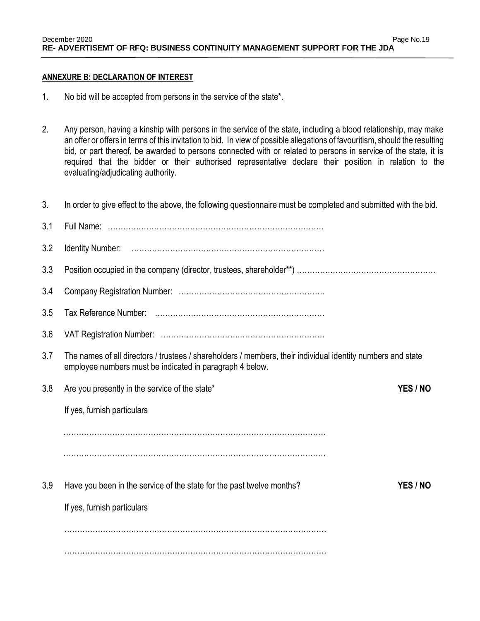#### **ANNEXURE B: DECLARATION OF INTEREST**

- 1. No bid will be accepted from persons in the service of the state\*.
- 2. Any person, having a kinship with persons in the service of the state, including a blood relationship, may make an offer or offers in terms of this invitation to bid. In view of possible allegations of favouritism, should the resulting bid, or part thereof, be awarded to persons connected with or related to persons in service of the state, it is required that the bidder or their authorised representative declare their position in relation to the evaluating/adjudicating authority.
- 3. In order to give effect to the above, the following questionnaire must be completed and submitted with the bid.

| 3.1 |                                                                                                                                                                         |          |
|-----|-------------------------------------------------------------------------------------------------------------------------------------------------------------------------|----------|
| 3.2 |                                                                                                                                                                         |          |
| 3.3 |                                                                                                                                                                         |          |
| 3.4 |                                                                                                                                                                         |          |
| 3.5 |                                                                                                                                                                         |          |
| 3.6 |                                                                                                                                                                         |          |
| 3.7 | The names of all directors / trustees / shareholders / members, their individual identity numbers and state<br>employee numbers must be indicated in paragraph 4 below. |          |
| 3.8 | Are you presently in the service of the state*                                                                                                                          | YES / NO |
|     | If yes, furnish particulars                                                                                                                                             |          |
|     |                                                                                                                                                                         |          |
|     |                                                                                                                                                                         |          |
| 3.9 | Have you been in the service of the state for the past twelve months?                                                                                                   | YES / NO |
|     | If yes, furnish particulars                                                                                                                                             |          |
|     |                                                                                                                                                                         |          |
|     |                                                                                                                                                                         |          |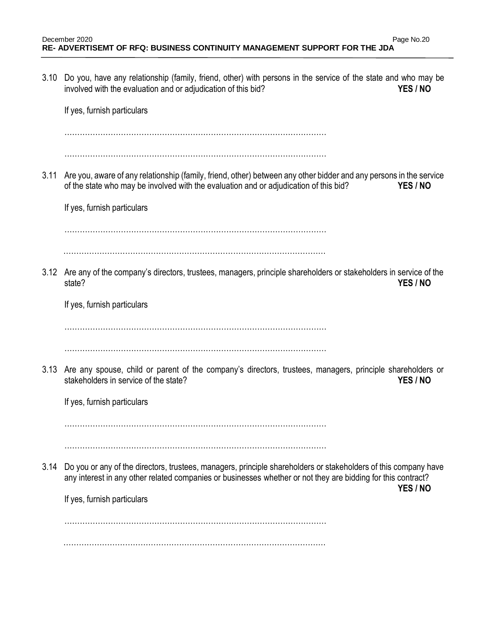3.10 Do you, have any relationship (family, friend, other) with persons in the service of the state and who may be involved with the evaluation and or adjudication of this bid? **YES / NO**

If yes, furnish particulars

…………………………………………………………………………………………

…………………………………………………………………………………………

3.11 Are you, aware of any relationship (family, friend, other) between any other bidder and any persons in the service of the state who may be involved with the evaluation and or adjudication of this bid? **YES / NO**

If yes, furnish particulars

. The same state of the state of the state of the state of the state of the state of the state of the state of the state of the state of the state of the state of the state of the state of the state of the state of the st

…………………………………………………………………………………………

3.12 Are any of the company's directors, trustees, managers, principle shareholders or stakeholders in service of the state? **YES / NO**

If yes, furnish particulars

. The same state of the same state of the same state of the same state of the same state of the same state of the same state of the same state of the same state of the same state of the same state of the same state of the

…………………………………………………………………………………………

3.13 Are any spouse, child or parent of the company's directors, trustees, managers, principle shareholders or stakeholders in service of the state? **YES / NO**

If yes, furnish particulars

…………………………………………………………………………………………

…………………………………………………………………………………………

3.14 Do you or any of the directors, trustees, managers, principle shareholders or stakeholders of this company have any interest in any other related companies or businesses whether or not they are bidding for this contract?

**YES / NO**

If yes, furnish particulars

…………………………………………………………………………………………

…………………………………………………………………………………………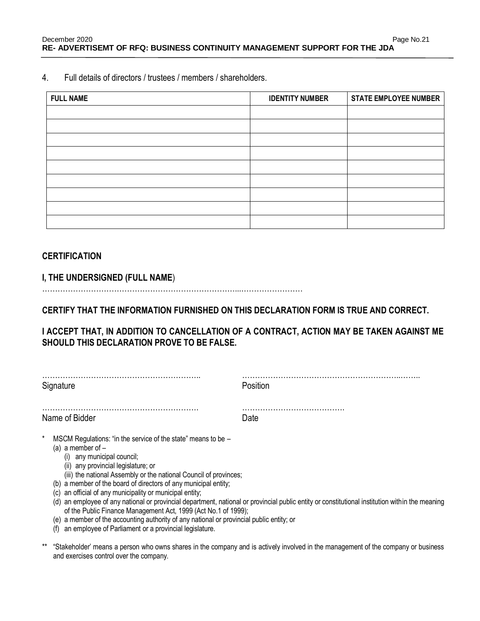4. Full details of directors / trustees / members / shareholders.

| <b>FULL NAME</b> | <b>IDENTITY NUMBER</b> | <b>STATE EMPLOYEE NUMBER</b> |
|------------------|------------------------|------------------------------|
|                  |                        |                              |
|                  |                        |                              |
|                  |                        |                              |
|                  |                        |                              |
|                  |                        |                              |
|                  |                        |                              |
|                  |                        |                              |
|                  |                        |                              |
|                  |                        |                              |

## **CERTIFICATION**

### **I, THE UNDERSIGNED (FULL NAME**)

…………………………………………………………………...……………………

**CERTIFY THAT THE INFORMATION FURNISHED ON THIS DECLARATION FORM IS TRUE AND CORRECT.** 

**I ACCEPT THAT, IN ADDITION TO CANCELLATION OF A CONTRACT, ACTION MAY BE TAKEN AGAINST ME SHOULD THIS DECLARATION PROVE TO BE FALSE.** 

| Signature                                                                                                                                                                                                                         | Position |  |  |
|-----------------------------------------------------------------------------------------------------------------------------------------------------------------------------------------------------------------------------------|----------|--|--|
| Name of Bidder                                                                                                                                                                                                                    | Date     |  |  |
| MSCM Regulations: "in the service of the state" means to be -<br>(a) a member of $-$<br>any municipal council;<br>(i)<br>(ii) any provincial legislature; or<br>(iii) the national Assembly or the national Council of provinces; |          |  |  |

- (b) a member of the board of directors of any municipal entity;
- (c) an official of any municipality or municipal entity;
- (d) an employee of any national or provincial department, national or provincial public entity or constitutional institution within the meaning of the Public Finance Management Act, 1999 (Act No.1 of 1999);
- (e) a member of the accounting authority of any national or provincial public entity; or
- (f) an employee of Parliament or a provincial legislature.
- \*\* "Stakeholder' means a person who owns shares in the company and is actively involved in the management of the company or business and exercises control over the company.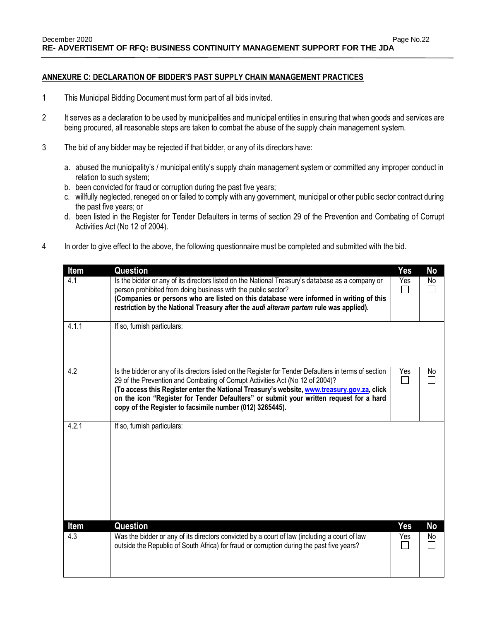#### **ANNEXURE C: DECLARATION OF BIDDER'S PAST SUPPLY CHAIN MANAGEMENT PRACTICES**

- 1 This Municipal Bidding Document must form part of all bids invited.
- 2 It serves as a declaration to be used by municipalities and municipal entities in ensuring that when goods and services are being procured, all reasonable steps are taken to combat the abuse of the supply chain management system.
- 3 The bid of any bidder may be rejected if that bidder, or any of its directors have:
	- a. abused the municipality's / municipal entity's supply chain management system or committed any improper conduct in relation to such system;
	- b. been convicted for fraud or corruption during the past five years;
	- c. willfully neglected, reneged on or failed to comply with any government, municipal or other public sector contract during the past five years; or
	- d. been listed in the Register for Tender Defaulters in terms of section 29 of the Prevention and Combating of Corrupt Activities Act (No 12 of 2004).
- 4 In order to give effect to the above, the following questionnaire must be completed and submitted with the bid.

| Item  | Question                                                                                                                                                                                                                                                                                                                                                                                                                                    | Yes | No  |
|-------|---------------------------------------------------------------------------------------------------------------------------------------------------------------------------------------------------------------------------------------------------------------------------------------------------------------------------------------------------------------------------------------------------------------------------------------------|-----|-----|
| 4.1   | Is the bidder or any of its directors listed on the National Treasury's database as a company or<br>person prohibited from doing business with the public sector?<br>(Companies or persons who are listed on this database were informed in writing of this<br>restriction by the National Treasury after the audi alteram partem rule was applied).                                                                                        | Yes | No. |
| 4.1.1 | If so, furnish particulars:                                                                                                                                                                                                                                                                                                                                                                                                                 |     |     |
| 4.2   | Is the bidder or any of its directors listed on the Register for Tender Defaulters in terms of section<br>29 of the Prevention and Combating of Corrupt Activities Act (No 12 of 2004)?<br>(To access this Register enter the National Treasury's website, www.treasury.gov.za, click<br>on the icon "Register for Tender Defaulters" or submit your written request for a hard<br>copy of the Register to facsimile number (012) 3265445). | Yes | No  |
| 4.2.1 | If so, furnish particulars:                                                                                                                                                                                                                                                                                                                                                                                                                 |     |     |
| Item  | <b>Question</b>                                                                                                                                                                                                                                                                                                                                                                                                                             | Yes | No  |
| 4.3   | Was the bidder or any of its directors convicted by a court of law (including a court of law<br>outside the Republic of South Africa) for fraud or corruption during the past five years?                                                                                                                                                                                                                                                   | Yes | No  |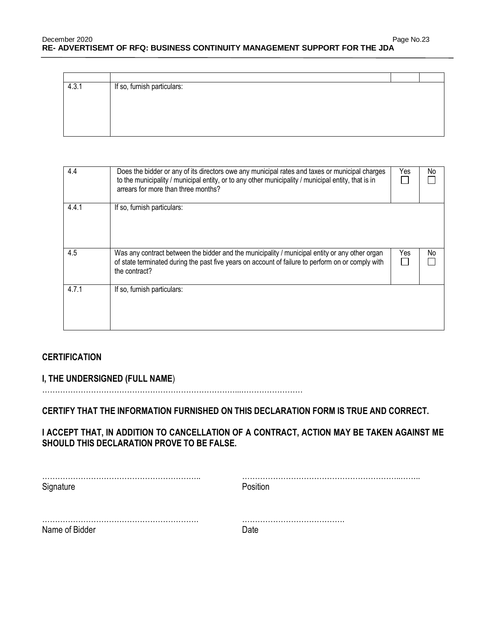| 4.3.1 | If so, furnish particulars: |  |
|-------|-----------------------------|--|
|       |                             |  |
|       |                             |  |
|       |                             |  |
|       |                             |  |
|       |                             |  |

| 4.4   | Does the bidder or any of its directors owe any municipal rates and taxes or municipal charges<br>to the municipality / municipal entity, or to any other municipality / municipal entity, that is in<br>arrears for more than three months? | Yes | No |
|-------|----------------------------------------------------------------------------------------------------------------------------------------------------------------------------------------------------------------------------------------------|-----|----|
| 4.4.1 | If so, furnish particulars:                                                                                                                                                                                                                  |     |    |
| 4.5   | Was any contract between the bidder and the municipality / municipal entity or any other organ<br>of state terminated during the past five years on account of failure to perform on or comply with<br>the contract?                         | Yes | No |
| 4.7.1 | If so, furnish particulars:                                                                                                                                                                                                                  |     |    |

## **CERTIFICATION**

**I, THE UNDERSIGNED (FULL NAME**)

…………………………………………………………………...……………………

**CERTIFY THAT THE INFORMATION FURNISHED ON THIS DECLARATION FORM IS TRUE AND CORRECT.** 

**I ACCEPT THAT, IN ADDITION TO CANCELLATION OF A CONTRACT, ACTION MAY BE TAKEN AGAINST ME SHOULD THIS DECLARATION PROVE TO BE FALSE.** 

| Signature      | Position |
|----------------|----------|
|                |          |
| Name of Bidder | Date     |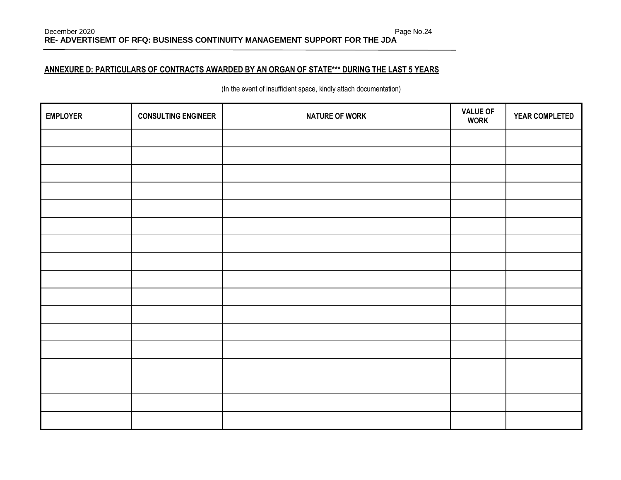### **ANNEXURE D: PARTICULARS OF CONTRACTS AWARDED BY AN ORGAN OF STATE\*\*\* DURING THE LAST 5 YEARS**

(In the event of insufficient space, kindly attach documentation)

| <b>EMPLOYER</b> | <b>CONSULTING ENGINEER</b> | <b>NATURE OF WORK</b> | <b>VALUE OF</b><br><b>WORK</b> | YEAR COMPLETED |
|-----------------|----------------------------|-----------------------|--------------------------------|----------------|
|                 |                            |                       |                                |                |
|                 |                            |                       |                                |                |
|                 |                            |                       |                                |                |
|                 |                            |                       |                                |                |
|                 |                            |                       |                                |                |
|                 |                            |                       |                                |                |
|                 |                            |                       |                                |                |
|                 |                            |                       |                                |                |
|                 |                            |                       |                                |                |
|                 |                            |                       |                                |                |
|                 |                            |                       |                                |                |
|                 |                            |                       |                                |                |
|                 |                            |                       |                                |                |
|                 |                            |                       |                                |                |
|                 |                            |                       |                                |                |
|                 |                            |                       |                                |                |
|                 |                            |                       |                                |                |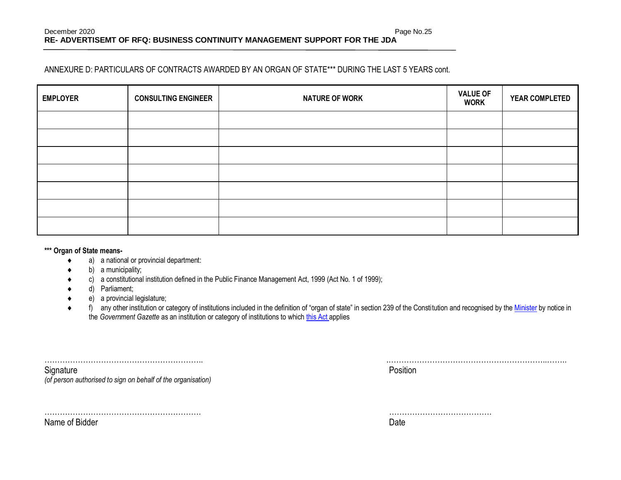#### ANNEXURE D: PARTICULARS OF CONTRACTS AWARDED BY AN ORGAN OF STATE\*\*\* DURING THE LAST 5 YEARS cont.

| <b>EMPLOYER</b> | <b>CONSULTING ENGINEER</b> | <b>NATURE OF WORK</b> | <b>VALUE OF</b><br><b>WORK</b> | <b>YEAR COMPLETED</b> |
|-----------------|----------------------------|-----------------------|--------------------------------|-----------------------|
|                 |                            |                       |                                |                       |
|                 |                            |                       |                                |                       |
|                 |                            |                       |                                |                       |
|                 |                            |                       |                                |                       |
|                 |                            |                       |                                |                       |
|                 |                            |                       |                                |                       |
|                 |                            |                       |                                |                       |

#### **\*\*\* Organ of State means-**

Name of Bidder

- a) a national or provincial department:
- b) a municipality;
- c) a constitutional institution defined in the Public Finance Management Act, 1999 (Act No. 1 of 1999);
- d) Parliament;
- e) a provincial legislature;
- ◆ f) any other institution or category of institutions included in the definition of "organ of state" in section 239 of the Constitution and recognised by the [Minister](javascript:void(0);) by notice in the *Government Gazette* as an institution or category of institutions to whic[h this Act](javascript:void(0);) applies

| Signature                                                    | Position |
|--------------------------------------------------------------|----------|
| (of person authorised to sign on behalf of the organisation) |          |

| . . | . |
|-----|---|

……………………………………………………. ………………………………….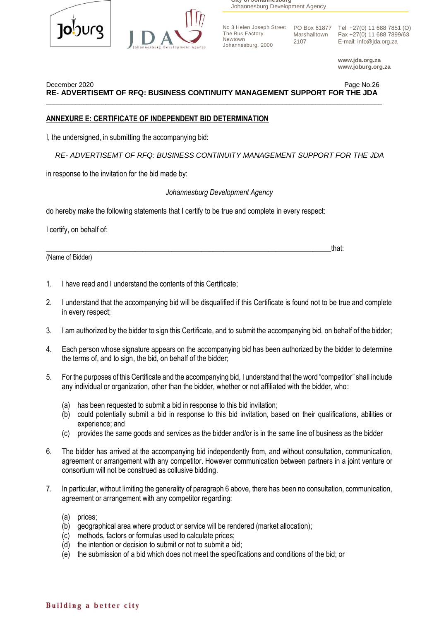



**City of Johannesburg** Johannesburg Development Agency

The Bus Factory Newtown Johannesburg, 2000 Marshalltown 2107

No 3 Helen Joseph Street PO Box 61877 Tel +27(0) 11 688 7851 (O) Fax +27(0) 11 688 7899/63 E-mail: info@jda.org.za

> **www.jda.org.za www.joburg.org.za**

December 2020 Page No.26 **RE- ADVERTISEMT OF RFQ: BUSINESS CONTINUITY MANAGEMENT SUPPORT FOR THE JDA**  $\overline{\phantom{a}}$  , and the contribution of the contribution of the contribution of the contribution of the contribution of the contribution of the contribution of the contribution of the contribution of the contribution of the

#### **ANNEXURE E: CERTIFICATE OF INDEPENDENT BID DETERMINATION**

I, the undersigned, in submitting the accompanying bid:

 *RE- ADVERTISEMT OF RFQ: BUSINESS CONTINUITY MANAGEMENT SUPPORT FOR THE JDA*

in response to the invitation for the bid made by:

#### *Johannesburg Development Agency*

do hereby make the following statements that I certify to be true and complete in every respect:

\_\_\_\_\_\_\_\_\_\_\_\_\_\_\_\_\_\_\_\_\_\_\_\_\_\_\_\_\_\_\_\_\_\_\_\_\_\_\_\_\_\_\_\_\_\_\_\_\_\_\_\_\_\_\_\_\_\_\_\_\_\_\_\_\_\_\_\_\_\_\_\_\_\_\_\_\_that:

I certify, on behalf of:

(Name of Bidder)

- 1. I have read and I understand the contents of this Certificate;
- 2. I understand that the accompanying bid will be disqualified if this Certificate is found not to be true and complete in every respect;
- 3. I am authorized by the bidder to sign this Certificate, and to submit the accompanying bid, on behalf of the bidder;
- 4. Each person whose signature appears on the accompanying bid has been authorized by the bidder to determine the terms of, and to sign, the bid, on behalf of the bidder;
- 5. For the purposes of this Certificate and the accompanying bid, I understand that the word "competitor" shall include any individual or organization, other than the bidder, whether or not affiliated with the bidder, who:
	- (a) has been requested to submit a bid in response to this bid invitation;
	- (b) could potentially submit a bid in response to this bid invitation, based on their qualifications, abilities or experience; and
	- (c) provides the same goods and services as the bidder and/or is in the same line of business as the bidder
- 6. The bidder has arrived at the accompanying bid independently from, and without consultation, communication, agreement or arrangement with any competitor. However communication between partners in a joint venture or consortium will not be construed as collusive bidding.
- 7. In particular, without limiting the generality of paragraph 6 above, there has been no consultation, communication, agreement or arrangement with any competitor regarding:
	- (a) prices;
	- (b) geographical area where product or service will be rendered (market allocation);
	- (c) methods, factors or formulas used to calculate prices;
	- (d) the intention or decision to submit or not to submit a bid;
	- (e) the submission of a bid which does not meet the specifications and conditions of the bid; or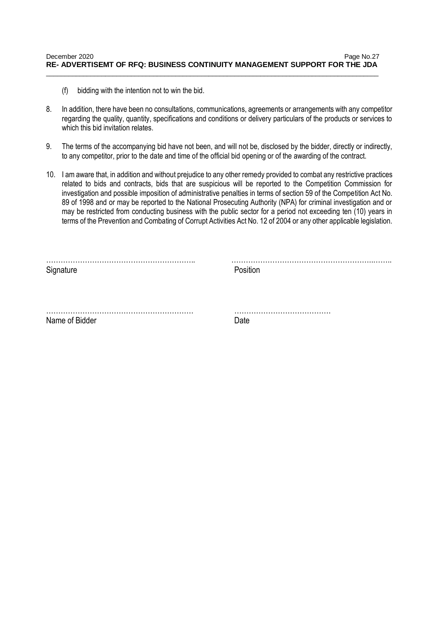- (f) bidding with the intention not to win the bid.
- 8. In addition, there have been no consultations, communications, agreements or arrangements with any competitor regarding the quality, quantity, specifications and conditions or delivery particulars of the products or services to which this bid invitation relates.
- 9. The terms of the accompanying bid have not been, and will not be, disclosed by the bidder, directly or indirectly, to any competitor, prior to the date and time of the official bid opening or of the awarding of the contract.
- 10. I am aware that, in addition and without prejudice to any other remedy provided to combat any restrictive practices related to bids and contracts, bids that are suspicious will be reported to the Competition Commission for investigation and possible imposition of administrative penalties in terms of section 59 of the Competition Act No. 89 of 1998 and or may be reported to the National Prosecuting Authority (NPA) for criminal investigation and or may be restricted from conducting business with the public sector for a period not exceeding ten (10) years in terms of the Prevention and Combating of Corrupt Activities Act No. 12 of 2004 or any other applicable legislation.

| Signature      | Position |
|----------------|----------|
|                |          |
| Name of Bidder | Date     |